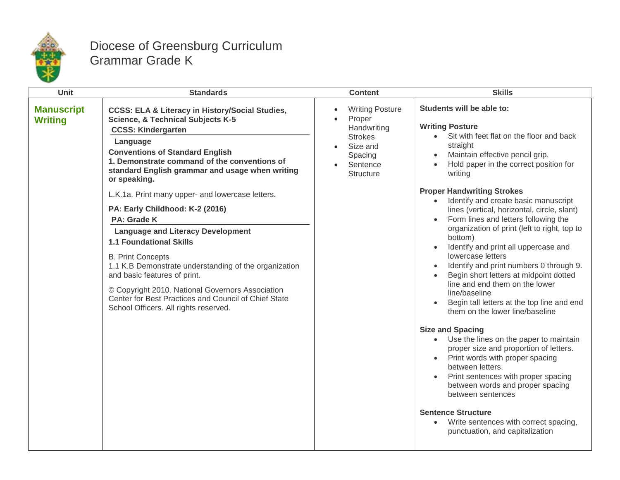

## Diocese of Greensburg Curriculum Grammar Grade K

| <b>Unit</b>                         | <b>Standards</b>                                                                                                                                                                                                                                                                                                                                                                                                                                                                                                                                                                                                                                                                                                                                                                      | <b>Content</b>                                                                                                           | <b>Skills</b>                                                                                                                                                                                                                                                                                                                                                                                                                                                                                                                                                                                                                                                                                                                                                                                                                                                                               |
|-------------------------------------|---------------------------------------------------------------------------------------------------------------------------------------------------------------------------------------------------------------------------------------------------------------------------------------------------------------------------------------------------------------------------------------------------------------------------------------------------------------------------------------------------------------------------------------------------------------------------------------------------------------------------------------------------------------------------------------------------------------------------------------------------------------------------------------|--------------------------------------------------------------------------------------------------------------------------|---------------------------------------------------------------------------------------------------------------------------------------------------------------------------------------------------------------------------------------------------------------------------------------------------------------------------------------------------------------------------------------------------------------------------------------------------------------------------------------------------------------------------------------------------------------------------------------------------------------------------------------------------------------------------------------------------------------------------------------------------------------------------------------------------------------------------------------------------------------------------------------------|
| <b>Manuscript</b><br><b>Writing</b> | <b>CCSS: ELA &amp; Literacy in History/Social Studies,</b><br><b>Science, &amp; Technical Subjects K-5</b><br><b>CCSS: Kindergarten</b><br>Language<br><b>Conventions of Standard English</b><br>1. Demonstrate command of the conventions of<br>standard English grammar and usage when writing<br>or speaking.<br>L.K.1a. Print many upper- and lowercase letters.<br>PA: Early Childhood: K-2 (2016)<br><b>PA: Grade K</b><br><b>Language and Literacy Development</b><br><b>1.1 Foundational Skills</b><br><b>B. Print Concepts</b><br>1.1 K.B Demonstrate understanding of the organization<br>and basic features of print.<br>© Copyright 2010. National Governors Association<br>Center for Best Practices and Council of Chief State<br>School Officers. All rights reserved. | <b>Writing Posture</b><br>Proper<br>Handwriting<br><b>Strokes</b><br>Size and<br>Spacing<br>Sentence<br><b>Structure</b> | Students will be able to:<br><b>Writing Posture</b><br>Sit with feet flat on the floor and back<br>straight<br>Maintain effective pencil grip.<br>$\bullet$<br>Hold paper in the correct position for<br>writing<br><b>Proper Handwriting Strokes</b><br>Identify and create basic manuscript<br>lines (vertical, horizontal, circle, slant)<br>Form lines and letters following the<br>$\bullet$<br>organization of print (left to right, top to<br>bottom)<br>Identify and print all uppercase and<br>lowercase letters<br>Identify and print numbers 0 through 9.<br>$\bullet$<br>Begin short letters at midpoint dotted<br>line and end them on the lower<br>line/baseline<br>Begin tall letters at the top line and end<br>them on the lower line/baseline<br><b>Size and Spacing</b><br>Use the lines on the paper to maintain<br>$\bullet$<br>proper size and proportion of letters. |
|                                     |                                                                                                                                                                                                                                                                                                                                                                                                                                                                                                                                                                                                                                                                                                                                                                                       |                                                                                                                          | Print words with proper spacing<br>between letters.<br>Print sentences with proper spacing<br>between words and proper spacing<br>between sentences<br><b>Sentence Structure</b><br>Write sentences with correct spacing,<br>$\bullet$                                                                                                                                                                                                                                                                                                                                                                                                                                                                                                                                                                                                                                                      |
|                                     |                                                                                                                                                                                                                                                                                                                                                                                                                                                                                                                                                                                                                                                                                                                                                                                       |                                                                                                                          | punctuation, and capitalization                                                                                                                                                                                                                                                                                                                                                                                                                                                                                                                                                                                                                                                                                                                                                                                                                                                             |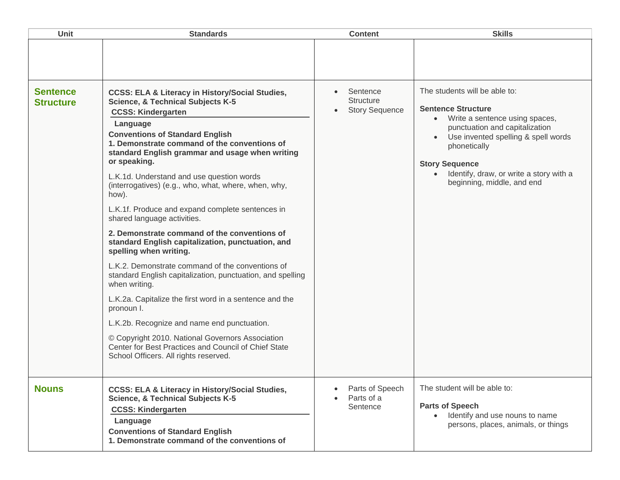| <b>Unit</b>                         | <b>Standards</b>                                                                                                                                                                                                                                                                                                                                                                                                               | <b>Content</b>                                        | <b>Skills</b>                                                                                                                                                                                                                                                                                        |
|-------------------------------------|--------------------------------------------------------------------------------------------------------------------------------------------------------------------------------------------------------------------------------------------------------------------------------------------------------------------------------------------------------------------------------------------------------------------------------|-------------------------------------------------------|------------------------------------------------------------------------------------------------------------------------------------------------------------------------------------------------------------------------------------------------------------------------------------------------------|
| <b>Sentence</b><br><b>Structure</b> | <b>CCSS: ELA &amp; Literacy in History/Social Studies,</b><br><b>Science, &amp; Technical Subjects K-5</b><br><b>CCSS: Kindergarten</b><br>Language<br><b>Conventions of Standard English</b><br>1. Demonstrate command of the conventions of<br>standard English grammar and usage when writing<br>or speaking.<br>L.K.1d. Understand and use question words<br>(interrogatives) (e.g., who, what, where, when, why,<br>how). | Sentence<br><b>Structure</b><br><b>Story Sequence</b> | The students will be able to:<br><b>Sentence Structure</b><br>Write a sentence using spaces,<br>$\bullet$<br>punctuation and capitalization<br>Use invented spelling & spell words<br>phonetically<br><b>Story Sequence</b><br>Identify, draw, or write a story with a<br>beginning, middle, and end |
|                                     | L.K.1f. Produce and expand complete sentences in<br>shared language activities.<br>2. Demonstrate command of the conventions of<br>standard English capitalization, punctuation, and<br>spelling when writing.<br>L.K.2. Demonstrate command of the conventions of<br>standard English capitalization, punctuation, and spelling<br>when writing.<br>L.K.2a. Capitalize the first word in a sentence and the                   |                                                       |                                                                                                                                                                                                                                                                                                      |
|                                     | pronoun I.<br>L.K.2b. Recognize and name end punctuation.<br>© Copyright 2010. National Governors Association<br>Center for Best Practices and Council of Chief State<br>School Officers. All rights reserved.                                                                                                                                                                                                                 |                                                       |                                                                                                                                                                                                                                                                                                      |
| <b>Nouns</b>                        | <b>CCSS: ELA &amp; Literacy in History/Social Studies,</b><br><b>Science, &amp; Technical Subjects K-5</b><br><b>CCSS: Kindergarten</b><br>Language<br><b>Conventions of Standard English</b><br>1. Demonstrate command of the conventions of                                                                                                                                                                                  | Parts of Speech<br>Parts of a<br>Sentence             | The student will be able to:<br><b>Parts of Speech</b><br>Identify and use nouns to name<br>$\bullet$<br>persons, places, animals, or things                                                                                                                                                         |